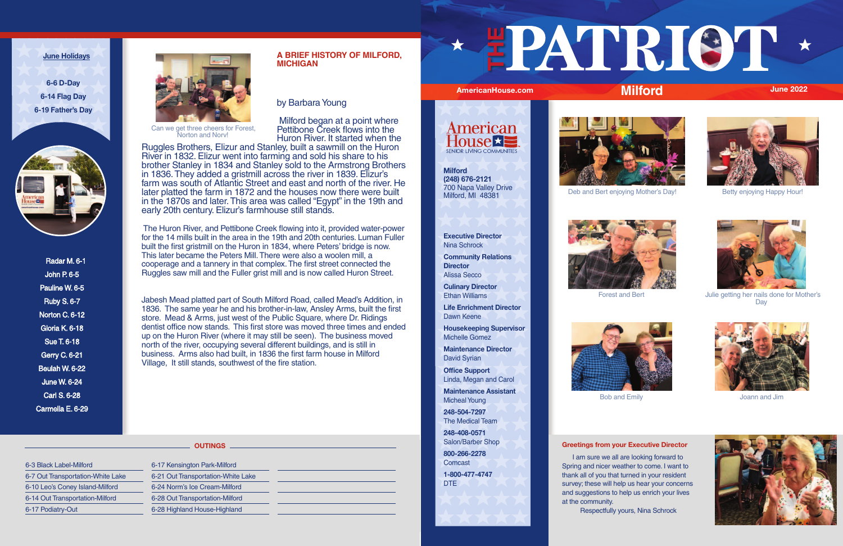## **A BRIEF HISTORY OF MILFORD, MICHIGAN**

by Barbara Young

 Milford began at a point where Pettibone Creek flows into the Huron River. It started when the

Ruggles Brothers, Elizur and Stanley, built a sawmill on the Huron River in 1832. Elizur went into farming and sold his share to his brother Stanley in 1834 and Stanley sold to the Armstrong Brothers in 1836. They added a gristmill across the river in 1839. Elizur's farm was south of Atlantic Street and east and north of the river. He later platted the farm in 1872 and the houses now there were built in the 1870s and later. This area was called "Egypt" in the 19th and early 20th century. Elizur's farmhouse still stands.

 The Huron River, and Pettibone Creek flowing into it, provided water-power for the 14 mills built in the area in the 19th and 20th centuries. Luman Fuller built the first gristmill on the Huron in 1834, where Peters' bridge is now. This later became the Peters Mill. There were also a woolen mill, a cooperage and a tannery in that complex. The first street connected the Ruggles saw mill and the Fuller grist mill and is now called Huron Street.

> **Maintenance Director** David Syrian

**Comcast 1-800-477-4747** DTE



Jabesh Mead platted part of South Milford Road, called Mead's Addition, in 1836. The same year he and his brother-in-law, Ansley Arms, built the first store. Mead & Arms, just west of the Public Square, where Dr. Ridings dentist office now stands. This first store was moved three times and ended up on the Huron River (where it may still be seen). The business moved north of the river, occupying several different buildings, and is still in business. Arms also had built, in 1836 the first farm house in Milford Village, It still stands, southwest of the fire station.

Radar M. 6-1 John P. 6-5 Pauline W. 6-5 Ruby S. 6-7 Norton C. 6-12 Gloria K. 6-18 Sue T. 6-18 Gerry C. 6-21 Beulah W. 6-22 June W. 6-24 Carl S. 6-28 Carmella E. 6-29



#### **June Holidays**

**6-6 D-Day 6-14 Flag Day 6-19 Father's Day**



### **Greetings from your Executive Director**

 I am sure we all are looking forward to Spring and nicer weather to come. I want to thank all of you that turned in your resident survey; these will help us hear your concerns and suggestions to help us enrich your lives at the community. Respectfully yours, Nina Schrock





**Community Relations Director** Alissa Secco

**Culinary Director** Ethan Williams

**Life Enrichment Director** Dawn Keene

**Housekeeping Supervisor** Michelle Gomez

**Office Support** Linda, Megan and Carol

**Maintenance Assistant** Micheal Young

**248-504-7297** The Medical Team

**248-408-0571** Salon/Barber Shop **800-266-2278**

## 6-3 Black Label-Milford 6-7 Out Transportation-White Lake

6-10 Leo's Coney Island-Milford 6-14 Out Transportation-Milford 6-17 Podiatry-Out

6-17 Kensington Park-Milford 6-21 Out Transportation-White Lake 6-24 Norm's Ice Cream-Milford 6-28 Out Transportation-Milford 6-28 Highland House-Highland

# **THE**

## **AmericanHouse.com Milford June 2022**



#### **OUTINGS**

**Milford (248) 676-2121** 700 Napa Valley Drive Milford, MI 48381



# **Milford**





Deb and Bert enjoying Mother's Day! Betty enjoying Happy Hour!



Forest and Bert **Interest and Bert** Julie getting her nails done for Mother's **Day** 

Can we get three cheers for Forest, Norton and Norv!



Bob and Emily Joann and Jim